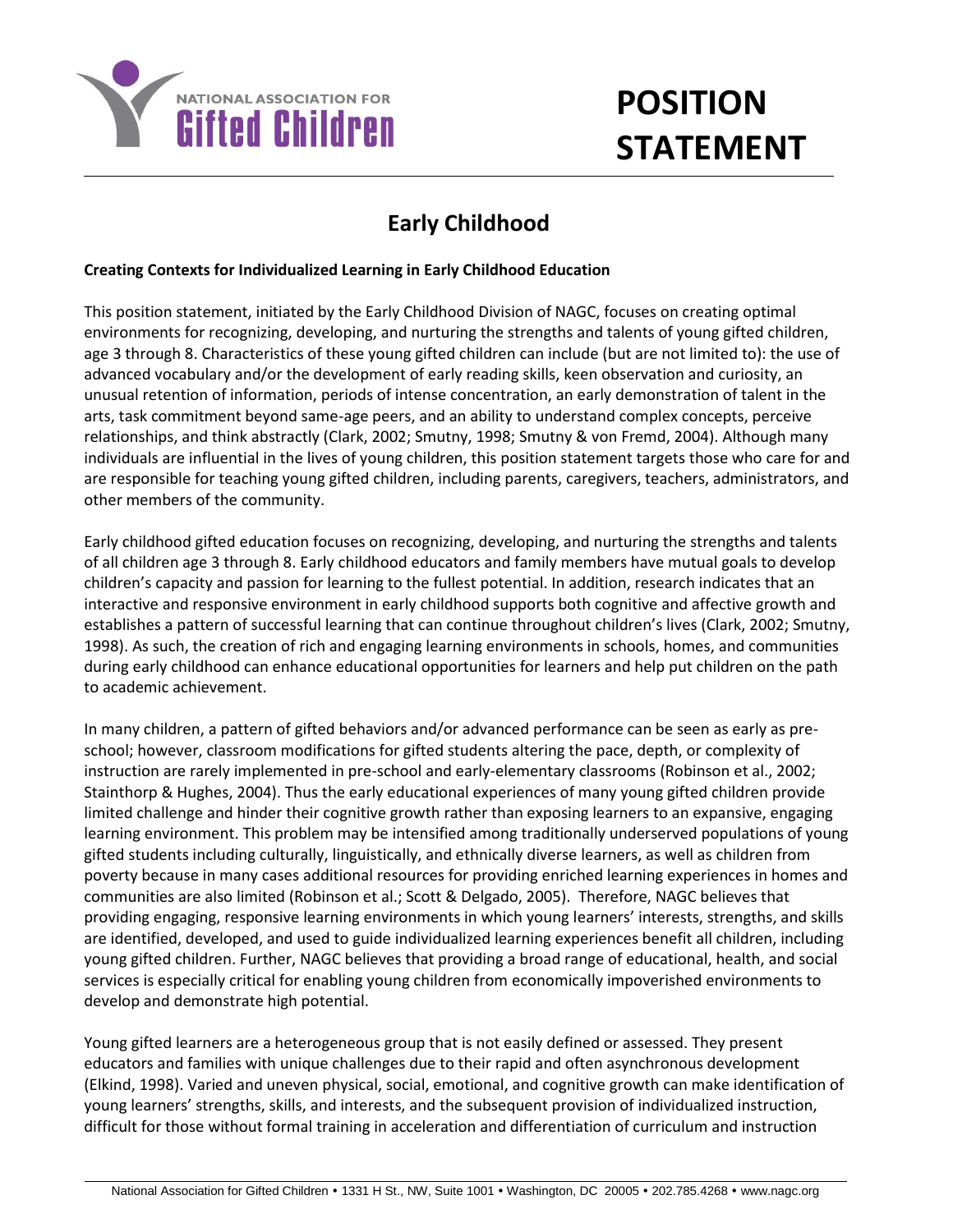

## **POSITION STATEMENT**

## **Early Childhood**

## **Creating Contexts for Individualized Learning in Early Childhood Education**

This position statement, initiated by the Early Childhood Division of NAGC, focuses on creating optimal environments for recognizing, developing, and nurturing the strengths and talents of young gifted children, age 3 through 8. Characteristics of these young gifted children can include (but are not limited to): the use of advanced vocabulary and/or the development of early reading skills, keen observation and curiosity, an unusual retention of information, periods of intense concentration, an early demonstration of talent in the arts, task commitment beyond same-age peers, and an ability to understand complex concepts, perceive relationships, and think abstractly (Clark, 2002; Smutny, 1998; Smutny & von Fremd, 2004). Although many individuals are influential in the lives of young children, this position statement targets those who care for and are responsible for teaching young gifted children, including parents, caregivers, teachers, administrators, and other members of the community.

Early childhood gifted education focuses on recognizing, developing, and nurturing the strengths and talents of all children age 3 through 8. Early childhood educators and family members have mutual goals to develop children's capacity and passion for learning to the fullest potential. In addition, research indicates that an interactive and responsive environment in early childhood supports both cognitive and affective growth and establishes a pattern of successful learning that can continue throughout children's lives (Clark, 2002; Smutny, 1998). As such, the creation of rich and engaging learning environments in schools, homes, and communities during early childhood can enhance educational opportunities for learners and help put children on the path to academic achievement.

In many children, a pattern of gifted behaviors and/or advanced performance can be seen as early as preschool; however, classroom modifications for gifted students altering the pace, depth, or complexity of instruction are rarely implemented in pre-school and early-elementary classrooms (Robinson et al., 2002; Stainthorp & Hughes, 2004). Thus the early educational experiences of many young gifted children provide limited challenge and hinder their cognitive growth rather than exposing learners to an expansive, engaging learning environment. This problem may be intensified among traditionally underserved populations of young gifted students including culturally, linguistically, and ethnically diverse learners, as well as children from poverty because in many cases additional resources for providing enriched learning experiences in homes and communities are also limited (Robinson et al.; Scott & Delgado, 2005). Therefore, NAGC believes that providing engaging, responsive learning environments in which young learners' interests, strengths, and skills are identified, developed, and used to guide individualized learning experiences benefit all children, including young gifted children. Further, NAGC believes that providing a broad range of educational, health, and social services is especially critical for enabling young children from economically impoverished environments to develop and demonstrate high potential.

Young gifted learners are a heterogeneous group that is not easily defined or assessed. They present educators and families with unique challenges due to their rapid and often asynchronous development (Elkind, 1998). Varied and uneven physical, social, emotional, and cognitive growth can make identification of young learners' strengths, skills, and interests, and the subsequent provision of individualized instruction, difficult for those without formal training in acceleration and differentiation of curriculum and instruction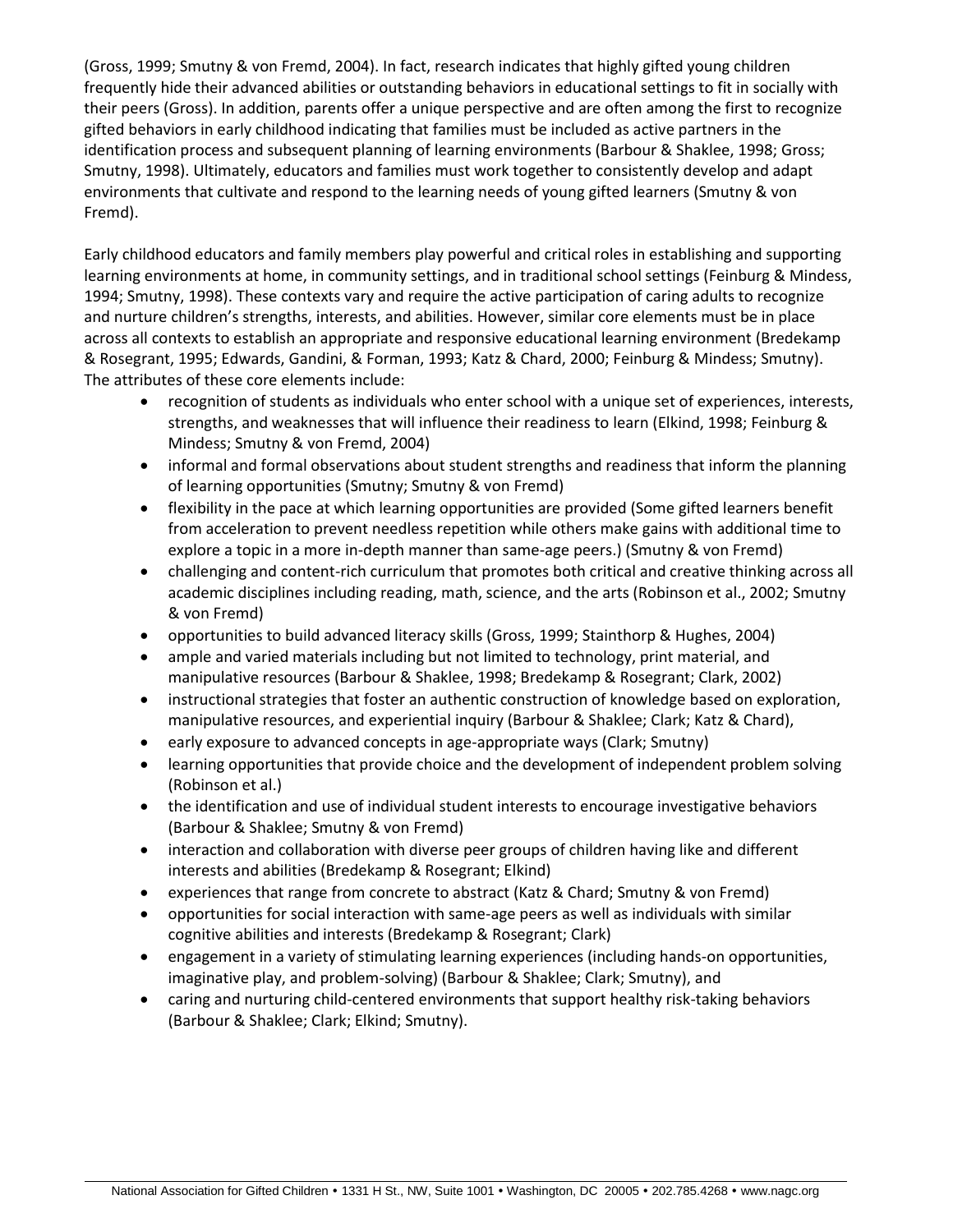(Gross, 1999; Smutny & von Fremd, 2004). In fact, research indicates that highly gifted young children frequently hide their advanced abilities or outstanding behaviors in educational settings to fit in socially with their peers (Gross). In addition, parents offer a unique perspective and are often among the first to recognize gifted behaviors in early childhood indicating that families must be included as active partners in the identification process and subsequent planning of learning environments (Barbour & Shaklee, 1998; Gross; Smutny, 1998). Ultimately, educators and families must work together to consistently develop and adapt environments that cultivate and respond to the learning needs of young gifted learners (Smutny & von Fremd).

Early childhood educators and family members play powerful and critical roles in establishing and supporting learning environments at home, in community settings, and in traditional school settings (Feinburg & Mindess, 1994; Smutny, 1998). These contexts vary and require the active participation of caring adults to recognize and nurture children's strengths, interests, and abilities. However, similar core elements must be in place across all contexts to establish an appropriate and responsive educational learning environment (Bredekamp & Rosegrant, 1995; Edwards, Gandini, & Forman, 1993; Katz & Chard, 2000; Feinburg & Mindess; Smutny). The attributes of these core elements include:

- recognition of students as individuals who enter school with a unique set of experiences, interests, strengths, and weaknesses that will influence their readiness to learn (Elkind, 1998; Feinburg & Mindess; Smutny & von Fremd, 2004)
- informal and formal observations about student strengths and readiness that inform the planning of learning opportunities (Smutny; Smutny & von Fremd)
- flexibility in the pace at which learning opportunities are provided (Some gifted learners benefit from acceleration to prevent needless repetition while others make gains with additional time to explore a topic in a more in-depth manner than same-age peers.) (Smutny & von Fremd)
- challenging and content-rich curriculum that promotes both critical and creative thinking across all academic disciplines including reading, math, science, and the arts (Robinson et al., 2002; Smutny & von Fremd)
- opportunities to build advanced literacy skills (Gross, 1999; Stainthorp & Hughes, 2004)
- ample and varied materials including but not limited to technology, print material, and manipulative resources (Barbour & Shaklee, 1998; Bredekamp & Rosegrant; Clark, 2002)
- instructional strategies that foster an authentic construction of knowledge based on exploration, manipulative resources, and experiential inquiry (Barbour & Shaklee; Clark; Katz & Chard),
- early exposure to advanced concepts in age-appropriate ways (Clark; Smutny)
- learning opportunities that provide choice and the development of independent problem solving (Robinson et al.)
- the identification and use of individual student interests to encourage investigative behaviors (Barbour & Shaklee; Smutny & von Fremd)
- interaction and collaboration with diverse peer groups of children having like and different interests and abilities (Bredekamp & Rosegrant; Elkind)
- experiences that range from concrete to abstract (Katz & Chard; Smutny & von Fremd)
- opportunities for social interaction with same-age peers as well as individuals with similar cognitive abilities and interests (Bredekamp & Rosegrant; Clark)
- engagement in a variety of stimulating learning experiences (including hands-on opportunities, imaginative play, and problem-solving) (Barbour & Shaklee; Clark; Smutny), and
- caring and nurturing child-centered environments that support healthy risk-taking behaviors (Barbour & Shaklee; Clark; Elkind; Smutny).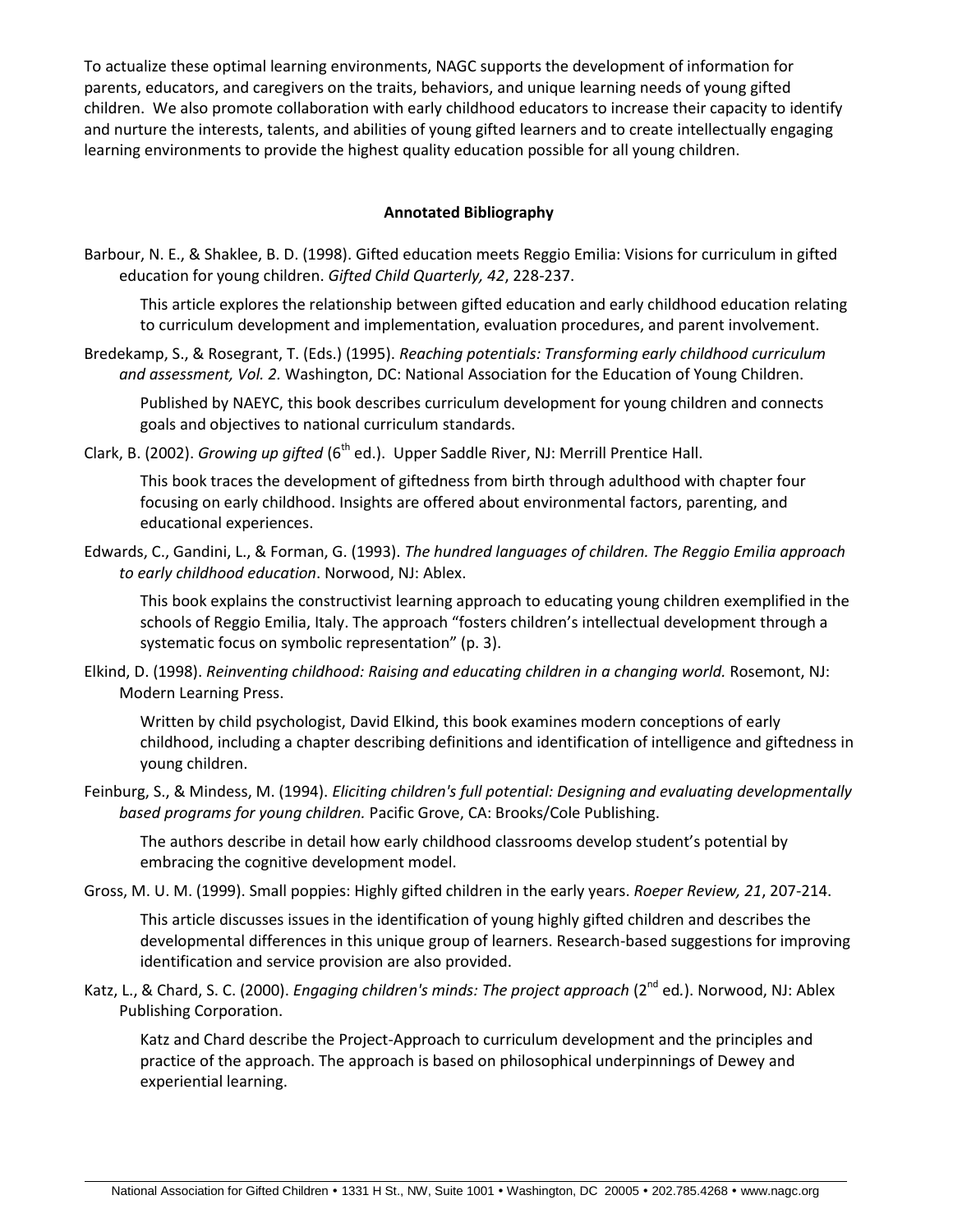To actualize these optimal learning environments, NAGC supports the development of information for parents, educators, and caregivers on the traits, behaviors, and unique learning needs of young gifted children. We also promote collaboration with early childhood educators to increase their capacity to identify and nurture the interests, talents, and abilities of young gifted learners and to create intellectually engaging learning environments to provide the highest quality education possible for all young children.

## **Annotated Bibliography**

Barbour, N. E., & Shaklee, B. D. (1998). Gifted education meets Reggio Emilia: Visions for curriculum in gifted education for young children. *Gifted Child Quarterly, 42*, 228-237.

This article explores the relationship between gifted education and early childhood education relating to curriculum development and implementation, evaluation procedures, and parent involvement.

Bredekamp, S., & Rosegrant, T. (Eds.) (1995). *Reaching potentials: Transforming early childhood curriculum and assessment, Vol. 2.* Washington, DC: National Association for the Education of Young Children.

Published by NAEYC, this book describes curriculum development for young children and connects goals and objectives to national curriculum standards.

Clark, B. (2002). *Growing up gifted* (6<sup>th</sup> ed.). Upper Saddle River, NJ: Merrill Prentice Hall.

This book traces the development of giftedness from birth through adulthood with chapter four focusing on early childhood. Insights are offered about environmental factors, parenting, and educational experiences.

Edwards, C., Gandini, L., & Forman, G. (1993). *The hundred languages of children. The Reggio Emilia approach to early childhood education*. Norwood, NJ: Ablex.

This book explains the constructivist learning approach to educating young children exemplified in the schools of Reggio Emilia, Italy. The approach "fosters children's intellectual development through a systematic focus on symbolic representation" (p. 3).

Elkind, D. (1998). *Reinventing childhood: Raising and educating children in a changing world.* Rosemont, NJ: Modern Learning Press.

Written by child psychologist, David Elkind, this book examines modern conceptions of early childhood, including a chapter describing definitions and identification of intelligence and giftedness in young children.

Feinburg, S., & Mindess, M. (1994). *Eliciting children's full potential: Designing and evaluating developmentally based programs for young children.* Pacific Grove, CA: Brooks/Cole Publishing.

The authors describe in detail how early childhood classrooms develop student's potential by embracing the cognitive development model.

Gross, M. U. M. (1999). Small poppies: Highly gifted children in the early years. *Roeper Review, 21*, 207-214.

This article discusses issues in the identification of young highly gifted children and describes the developmental differences in this unique group of learners. Research-based suggestions for improving identification and service provision are also provided.

Katz, L., & Chard, S. C. (2000). *Engaging children's minds: The project approach* (2<sup>nd</sup> ed.). Norwood, NJ: Ablex Publishing Corporation.

Katz and Chard describe the Project-Approach to curriculum development and the principles and practice of the approach. The approach is based on philosophical underpinnings of Dewey and experiential learning.